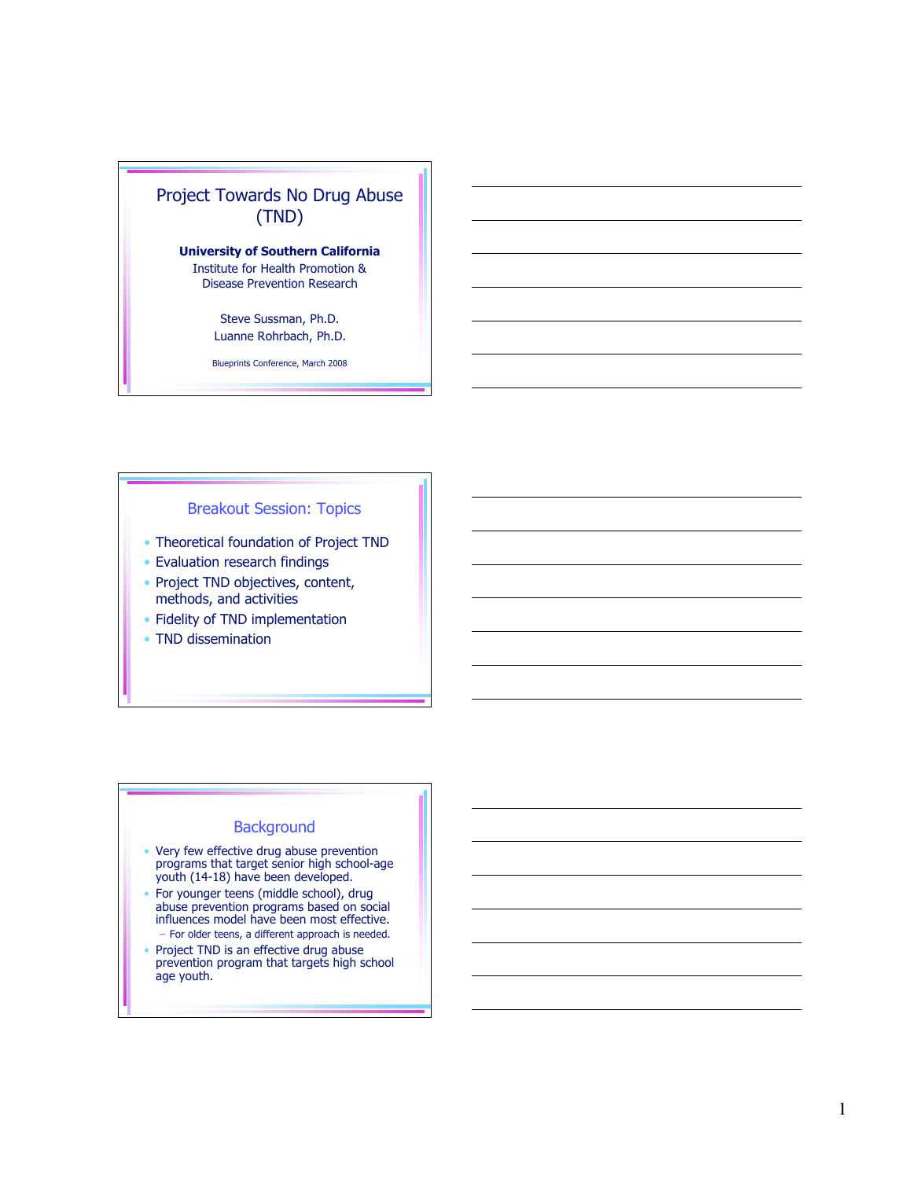

Steve Sussman, Ph.D. Luanne Rohrbach, Ph.D.

Blueprints Conference, March 2008

### Breakout Session: Topics

- Theoretical foundation of Project TND
- Evaluation research findings
- Project TND objectives, content, methods, and activities
- Fidelity of TND implementation
- TND dissemination

### **Background**

- Very few effective drug abuse prevention programs that target senior high school-age youth (14-18) have been developed.
- For younger teens (middle school), drug abuse prevention programs based on social influences model have been most effective. – For older teens, a different approach is needed.
- Project TND is an effective drug abuse prevention program that targets high school age youth.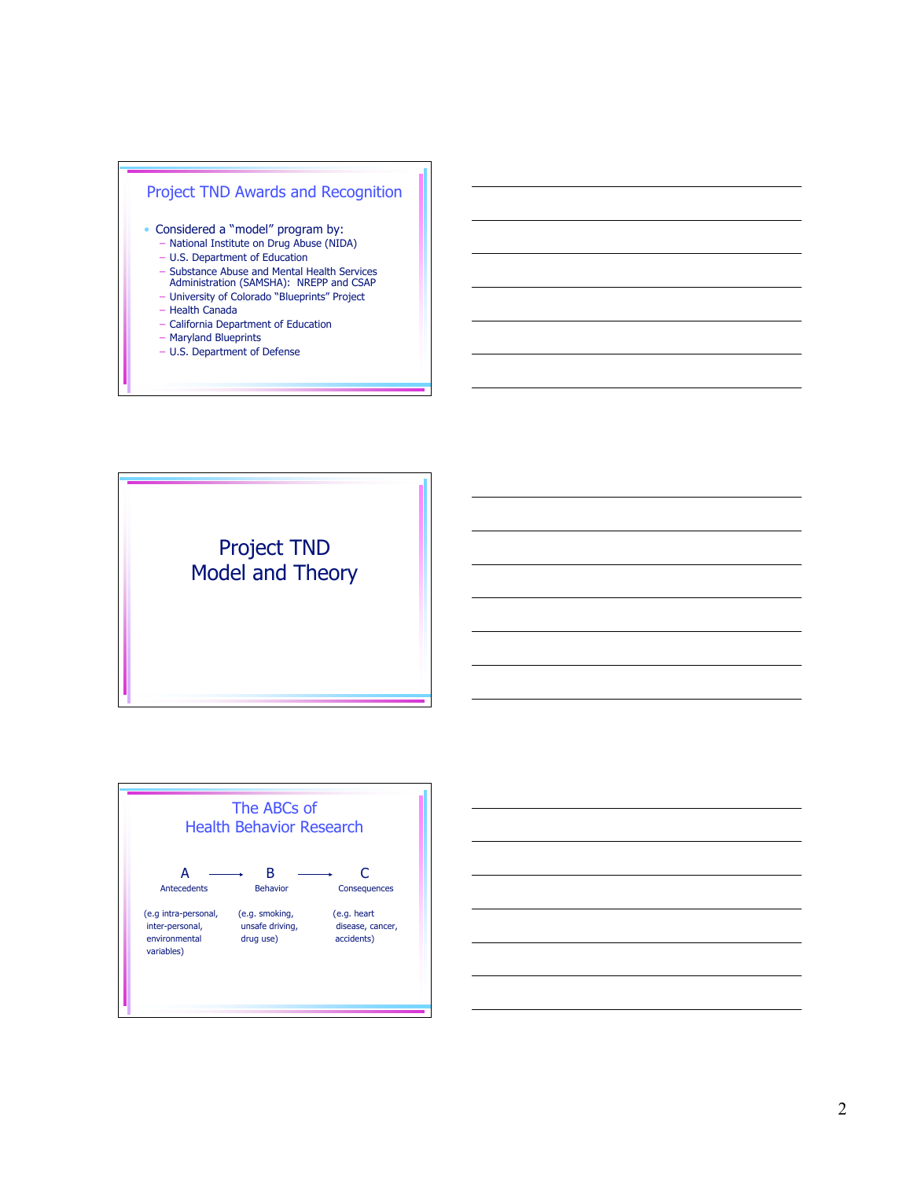

- Maryland Blueprints
- U.S. Department of Defense

Project TND Model and Theory



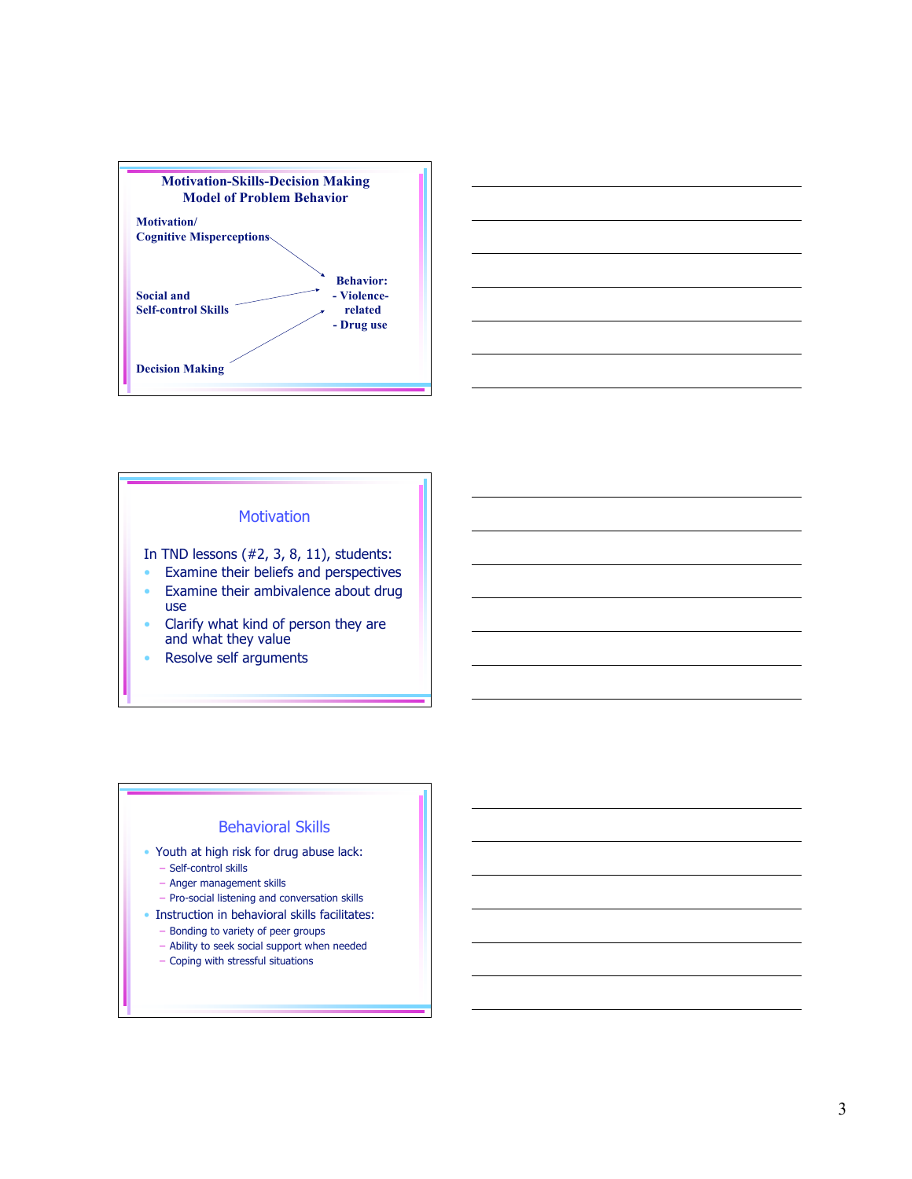



### **Motivation**

In TND lessons (#2, 3, 8, 11), students:

- Examine their beliefs and perspectives
- Examine their ambivalence about drug use
- Clarify what kind of person they are and what they value
- Resolve self arguments

# Behavioral Skills

- Youth at high risk for drug abuse lack:
	- Self-control skills
	- Anger management skills
	- Pro-social listening and conversation skills
- Instruction in behavioral skills facilitates:
	- Bonding to variety of peer groups
	- Ability to seek social support when needed
	- Coping with stressful situations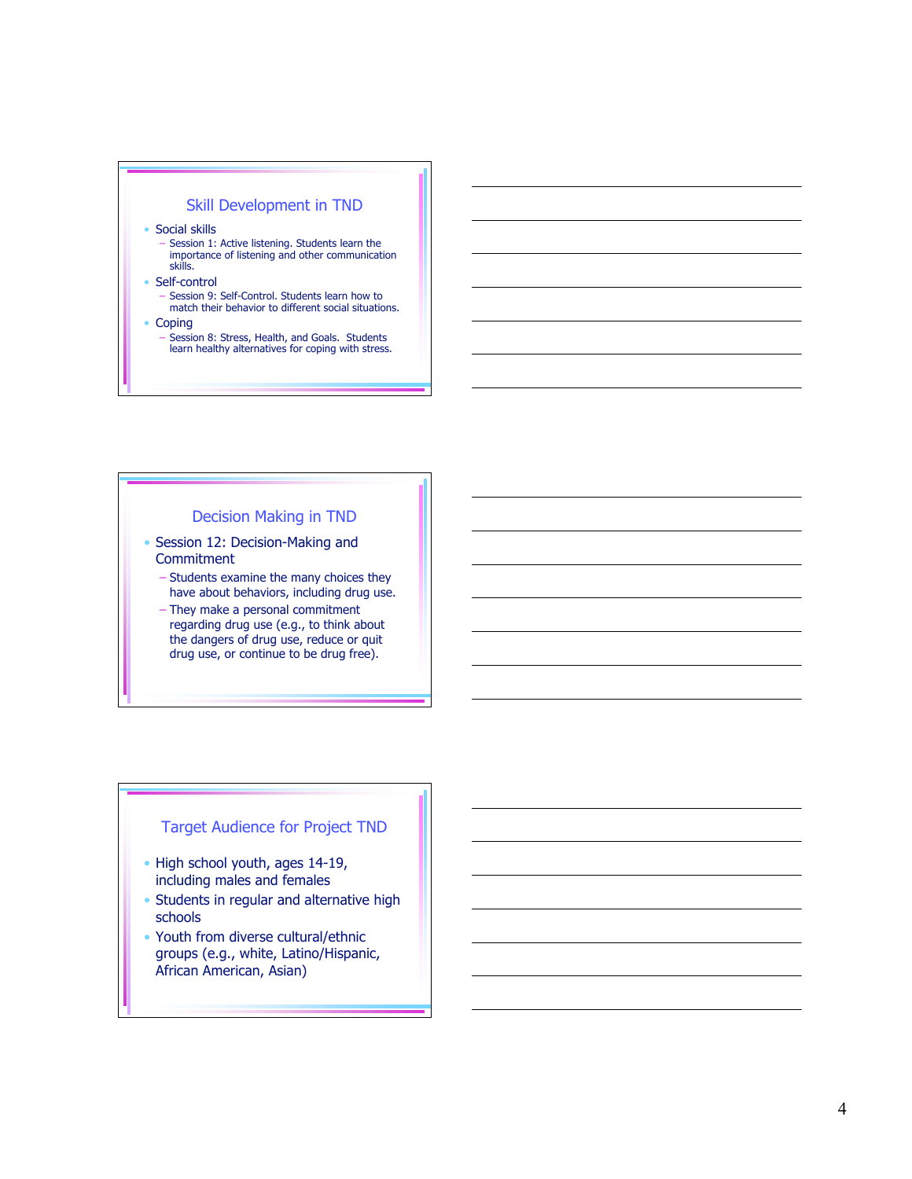### Skill Development in TND

• Social skills

–

- Session 1: Active listening. Students learn the<br>importance of listening and other communication s k i l l s .
- Self-control
	- Session 9: Self-Control. Students learn how to match their behavior to different social situations.
- Coping
	- Session 8: Stress, Health, and Goals. Students learn healthy alternatives for coping with stress.

#### Decision Making in TND

- Session 12: Decision-Making and Commitment
	- Students examine the many choices they have about behaviors, including drug use.
	- They make a personal commitment regarding drug use (e.g., to think about the dangers of drug use, reduce or quit drug use, or continue to be drug free).

# Target Audience for Project TND

- High school youth, ages 14-19, including males and females
- Students in regular and alternative high schools
- Youth from diverse cultural/ethnic groups (e.g., white, Latino/Hispanic, African American, Asian)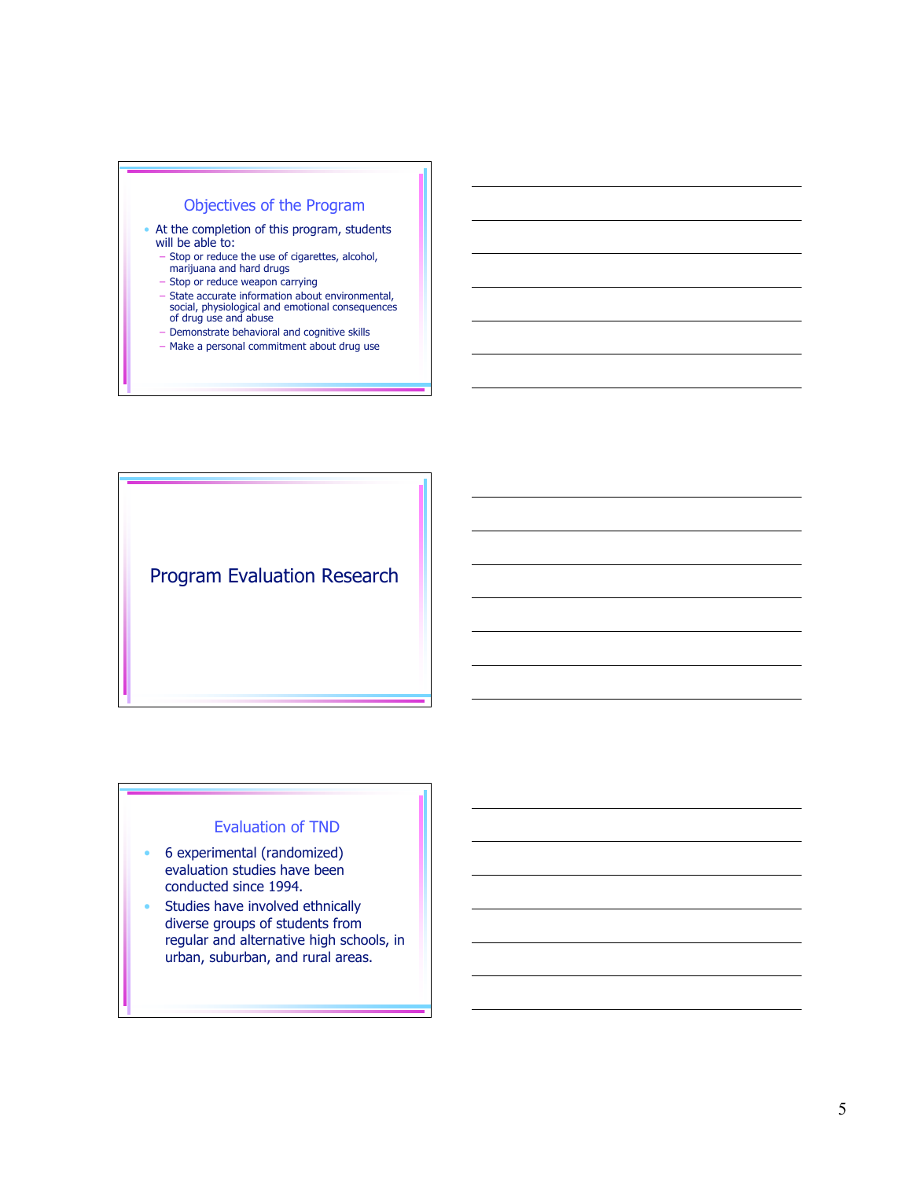# Objectives of the Program

- At the completion of this program, students will be able to:
	- Stop or reduce the use of cigarettes, alcohol, marijuana and hard drugs
	- Stop or reduce weapon carrying
	- State accurate information about environmental, social, physiological and emotional consequences of drug use and abuse
	- Demonstrate behavioral and cognitive skills
	- Make a personal commitment about drug use

Program Evaluation Research

### Evaluation of TND

- 6 experimental (randomized) evaluation studies have been conducted since 1994.
- Studies have involved ethnically diverse groups of students from regular and alternative high schools, in urban, suburban, and rural areas.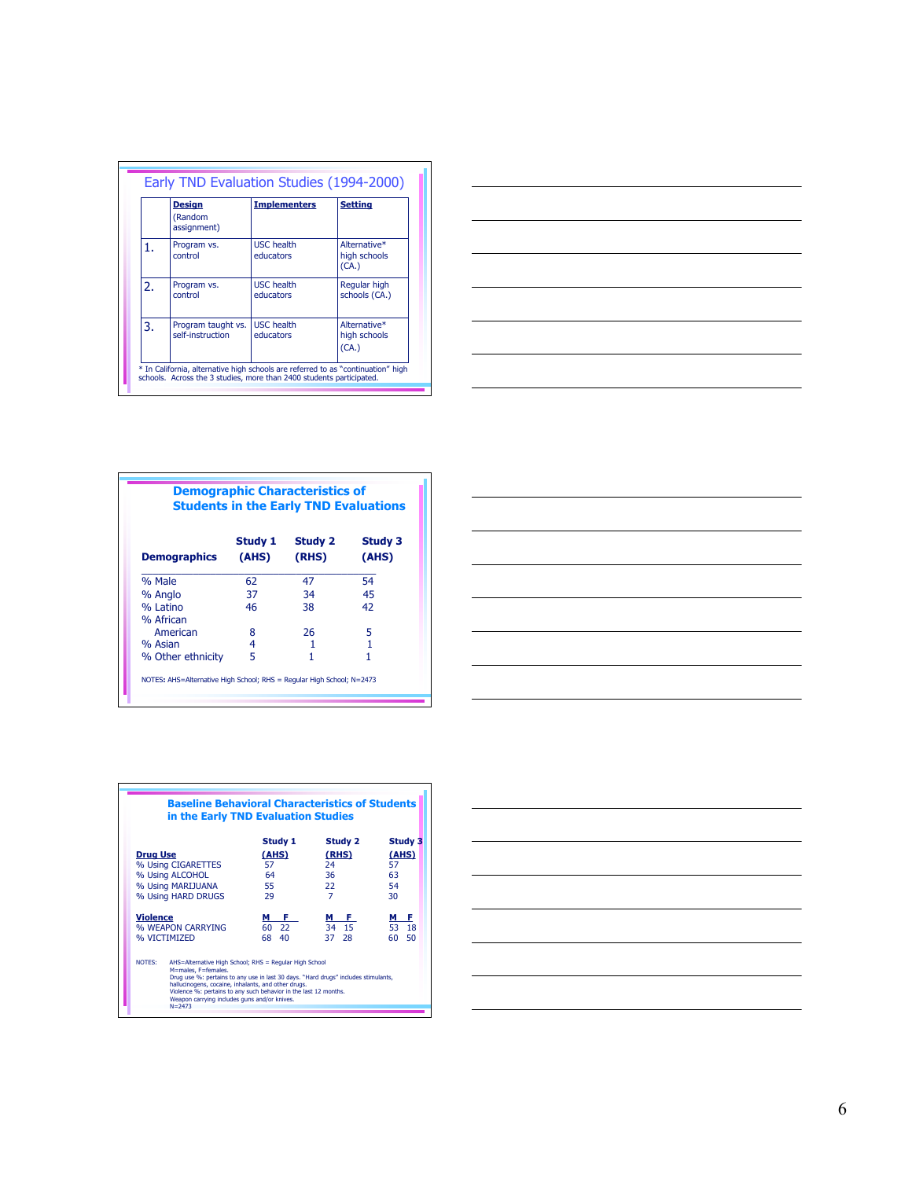|                  | <b>Design</b><br>(Random<br>assignment) | <b>Implementers</b>            | <b>Setting</b>                        |
|------------------|-----------------------------------------|--------------------------------|---------------------------------------|
| 1.               | Program vs.<br>control                  | <b>USC</b> health<br>educators | Alternative*<br>high schools<br>(CA.) |
| $\overline{2}$ . | Program vs.<br>control                  | <b>USC</b> health<br>educators | Regular high<br>schools (CA.)         |
| 3.               | Program taught vs.<br>self-instruction  | <b>USC</b> health<br>educators | Alternative*<br>high schools<br>(CA.) |



| <b>Students in the Early TND Evaluations</b> |                  |                  |                         |
|----------------------------------------------|------------------|------------------|-------------------------|
| <b>Demographics</b>                          | Study 1<br>(AHS) | Study 2<br>(RHS) | <b>Study 3</b><br>(AHS) |
| % Male                                       | 62               | 47               | 54                      |
| % Anglo                                      | 37               | 34               | 45                      |
| % Latino                                     | 46               | 38               | 42                      |
| % African                                    |                  |                  |                         |
| American                                     | 8                | 26               | 5                       |
| % Asian                                      | 4                |                  |                         |
| % Other ethnicity                            | 5                |                  | 1                       |





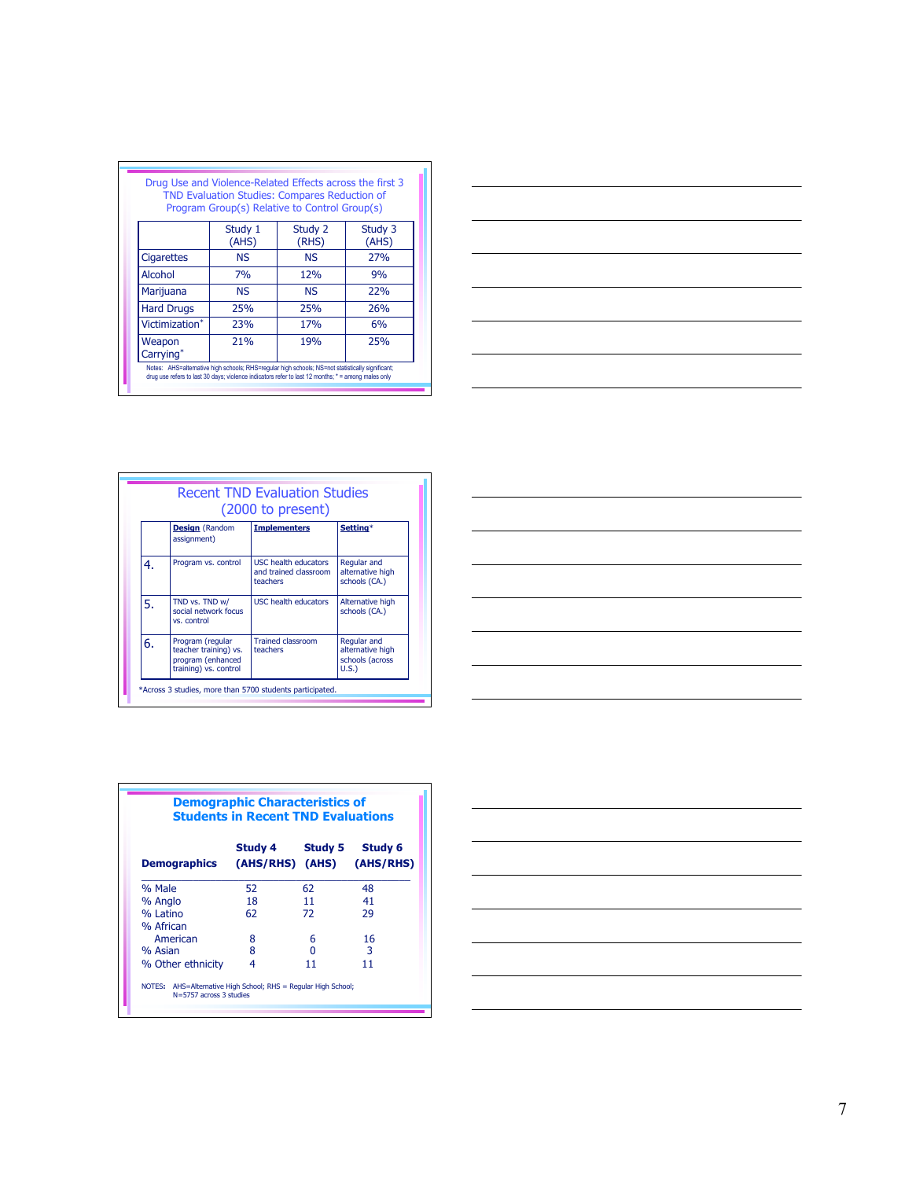| Study 3<br>Study 2            |                                                                                                  |
|-------------------------------|--------------------------------------------------------------------------------------------------|
| (RHS)<br>(AHS)                | Study 1<br>(AHS)                                                                                 |
| <b>27%</b>                    | <b>NS</b>                                                                                        |
| 12%<br>9%                     | 7%                                                                                               |
| 22%                           | <b>NS</b>                                                                                        |
| <b>26%</b>                    | 25%                                                                                              |
| 6%                            | 23%                                                                                              |
| 25%                           | 21%                                                                                              |
| 25%<br>17 <sub>%</sub><br>19% | Notes: AHS=alternative high schools; RHS=regular high schools; NS=not statistically significant; |



|    |                                                                                         | <b>Recent TND Evaluation Studies</b><br>$(2000 \text{ to present})$ |                                                            |
|----|-----------------------------------------------------------------------------------------|---------------------------------------------------------------------|------------------------------------------------------------|
|    | <b>Design</b> (Random<br>assignment)                                                    | <b>Implementers</b>                                                 | Setting*                                                   |
| 4. | Program vs. control                                                                     | USC health educators<br>and trained classroom<br>teachers           | Regular and<br>alternative high<br>schools (CA.)           |
| 5. | TND vs. TND w/<br>social network focus<br>vs. control                                   | <b>USC health educators</b>                                         | Alternative high<br>schools (CA.)                          |
| 6. | Program (regular<br>teacher training) vs.<br>program (enhanced<br>training) vs. control | <b>Trained classroom</b><br>teachers                                | Regular and<br>alternative high<br>schools (across<br>U.S. |



|                     | <b>Demographic Characteristics of</b><br><b>Students in Recent TND Evaluations</b> |         |                             |
|---------------------|------------------------------------------------------------------------------------|---------|-----------------------------|
| <b>Demographics</b> | Study 4<br>(AHS/RHS) (AHS)                                                         | Study 5 | <b>Study 6</b><br>(AHS/RHS) |
| % Male              | 52                                                                                 | 62      | 48                          |
| % Anglo             | 18                                                                                 | 11      | 41                          |
| % Latino            | 62                                                                                 | 72      | 29                          |
| % African           |                                                                                    |         |                             |
| American            | 8                                                                                  | 6       | 16                          |
| % Asian             | 8                                                                                  | n       | 3                           |
| % Other ethnicity   | 4                                                                                  | 11      | 11                          |

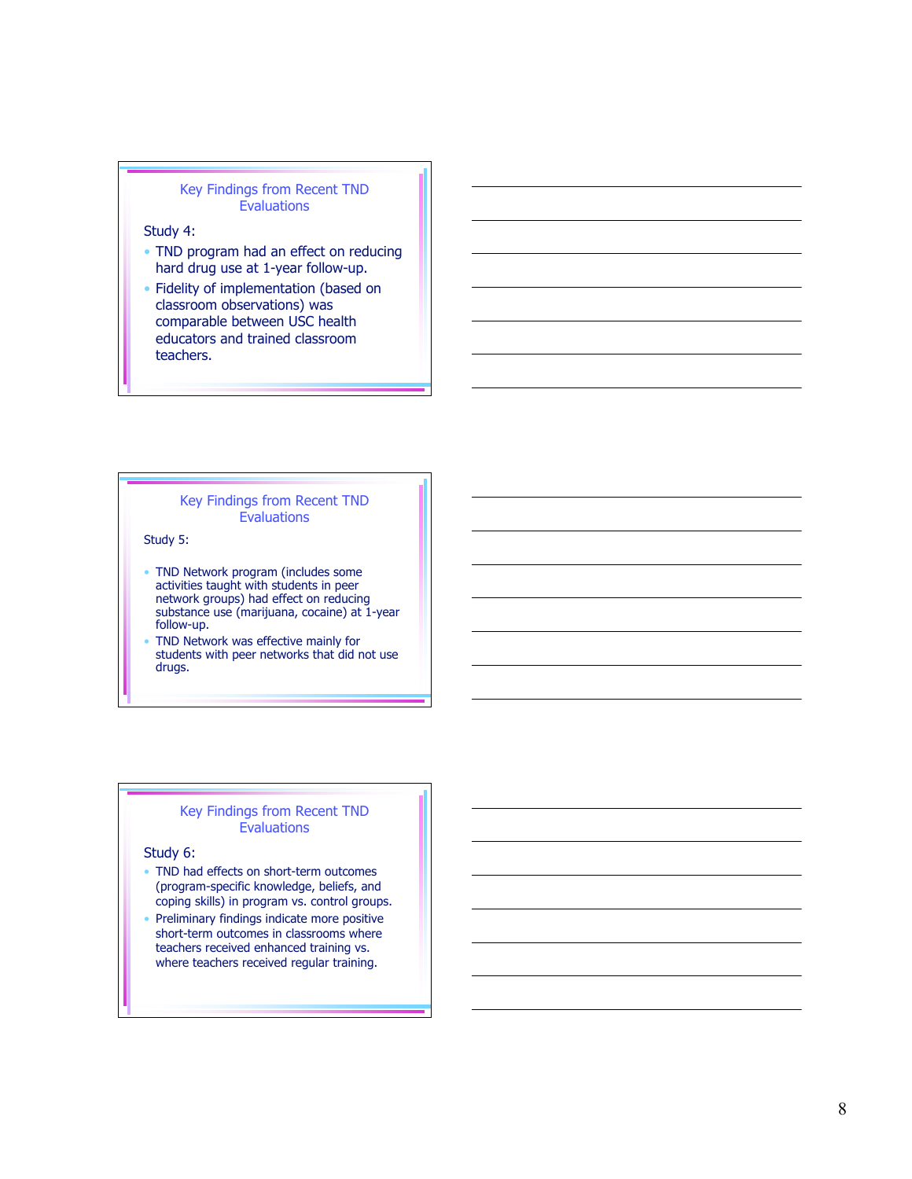#### Key Findings from Recent TND **Evaluations**

#### Study 4:

- TND program had an effect on reducing hard drug use at 1-year follow-up.
- Fidelity of implementation (based on classroom observations) was comparable between USC health educators and trained classroom teachers.

#### Key Findings from Recent TND **Evaluations**

Study 5:

- TND Network program (includes some activities taught with students in peer network groups) had effect on reducing substance use (marijuana, cocaine) at 1-year follow-up.
- TND Network was effective mainly for students with peer networks that did not use drugs.

#### Key Findings from Recent TND **Evaluations**

Study 6:

- TND had effects on short-term outcomes (program-specific knowledge, beliefs, and coping skills) in program vs. control groups.
- Preliminary findings indicate more positive short-term outcomes in classrooms where teachers received enhanced training vs. where teachers received regular training.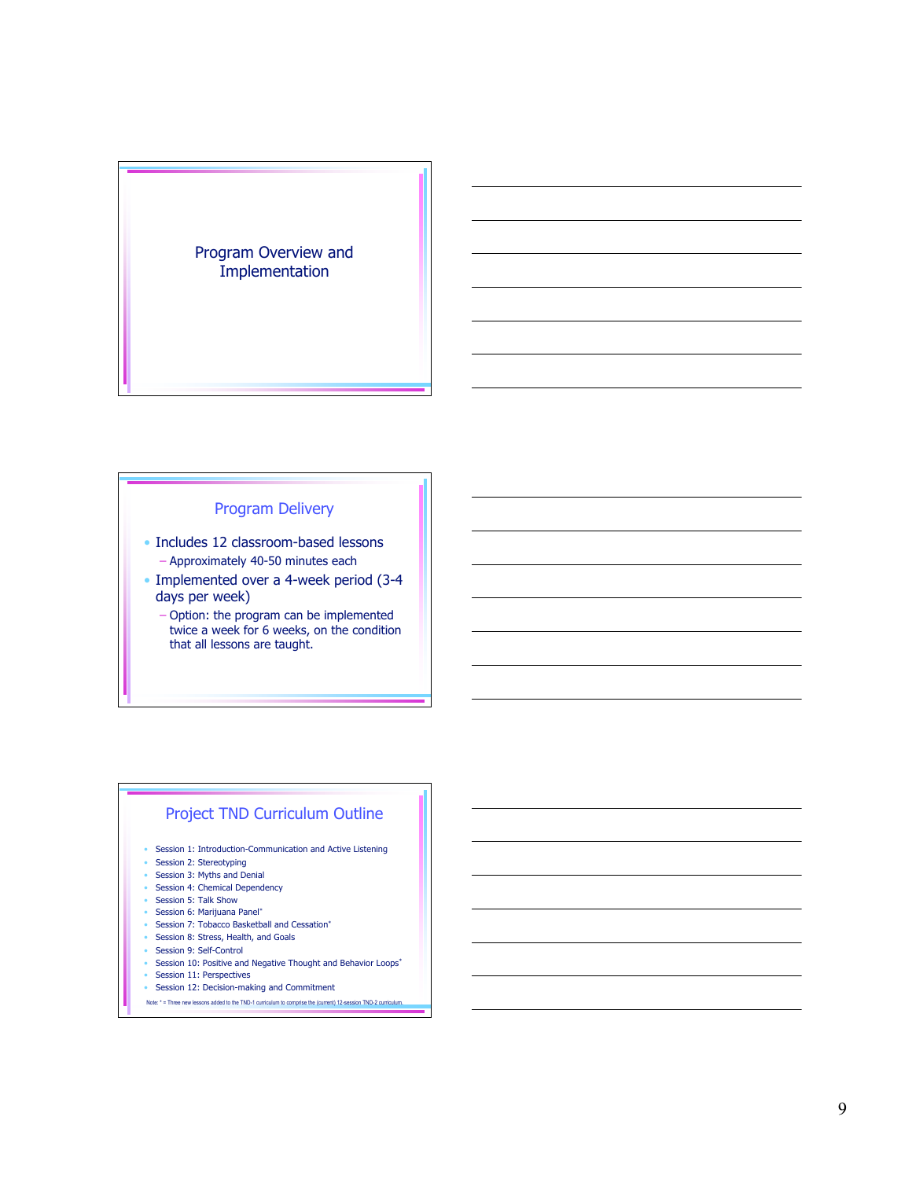### Program Overview and Implementation

# Program Delivery

- Includes 12 classroom-based lessons – Approximately 40-50 minutes each
- Implemented over a 4-week period (3-4 days per week)
	- Option: the program can be implemented twice a week for 6 weeks, on the condition that all lessons are taught.

### Project TND Curriculum Outline

- Session 1: Introduction-Communication and Active Listening
- Session 2: Stereotyping
- Session 3: Myths and Denial
- Session 4: Chemical Dependency
- Session 5: Talk Show
- Session 6: Marijuana Panel\*
- Session 7: Tobacco Basketball and Cessation\*
- Session 8: Stress, Health, and Goals
- Session 9: Self-Control
- Session 10: Positive and Negative Thought and Behavior Loops<sup>\*</sup>
- Session 11: Perspectives
- Session 12: Decision-making and Commitment
- Note: \* = Three new lessons added to the TND-1 curriculum to comprise the (current) 12-session TND-2 curriculum.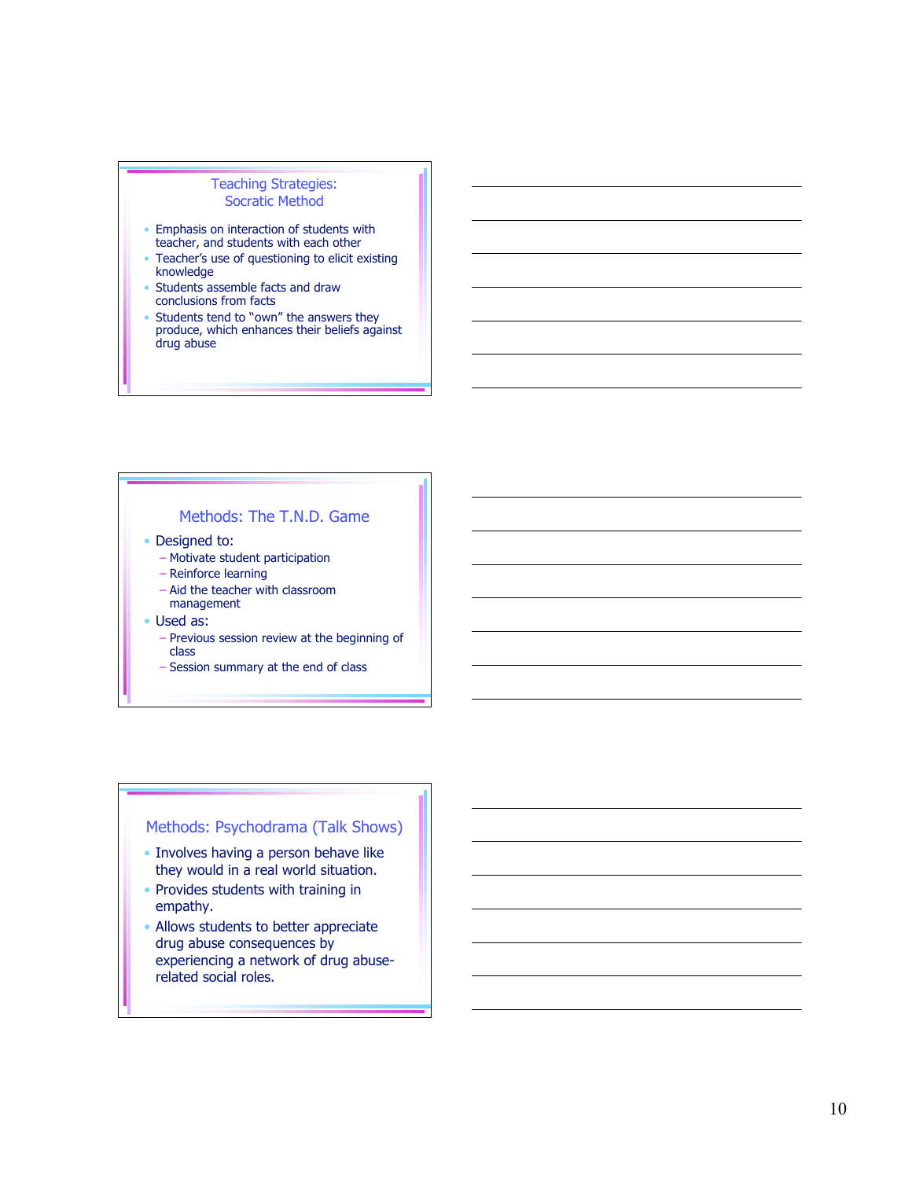#### Teaching Strategies: Socratic Method

- Emphasis on interaction of students with teacher, and students with each other
- Teacher's use of questioning to elicit existing knowledge
- Students assemble facts and draw conclusions from facts
- Students tend to "own" the answers they produce, which enhances their beliefs against d r u g a b u s e

# Methods: The T.N.D. Game

- Designed to:
	- Motivate student participation
	- Reinforce learning
	- Aid the teacher with classroom management
- Used as:
	- Previous session review at the beginning of c l a s s
	- Session summary at the end of class

# Methods: Psychodrama (Talk Shows)

- Involves having a person behave like they would in a real world situation.
- Provides students with training in empathy.
- Allows students to better appreciate drug abuse consequences by experiencing a network of drug abuse related social roles.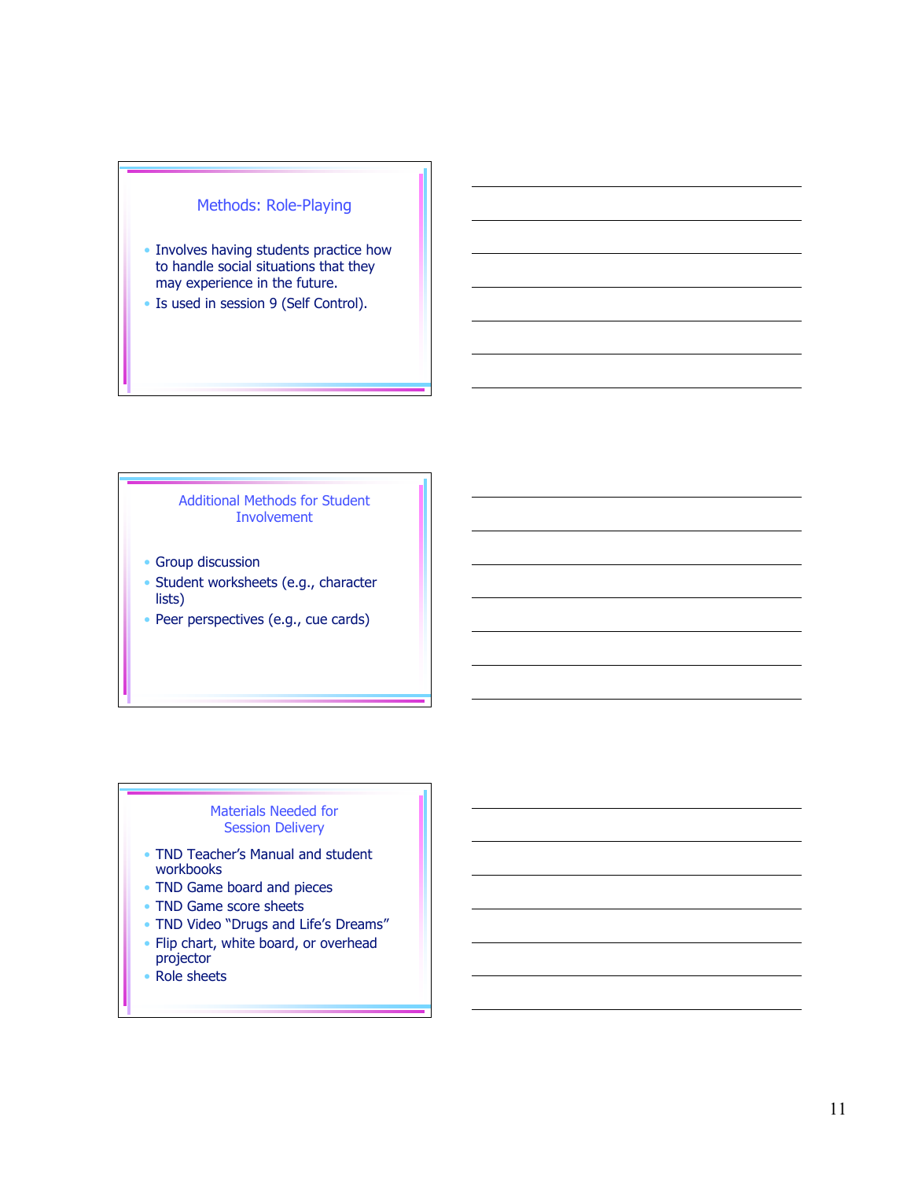# Methods: Role-Playing

- Involves having students practice how to handle social situations that they may experience in the future.
- Is used in session 9 (Self Control).

Additional Methods for Student Involvement

- Group discussion
- Student worksheets (e.g., character lists)
- Peer perspectives (e.g., cue cards)

### Materials Needed for Session Delivery

- TND Teacher's Manual and student workbooks
- TND Game board and pieces
- TND Game score sheets
- TND Video "Drugs and Life's Dreams"
- Flip chart, white board, or overhead projector
- Role sheets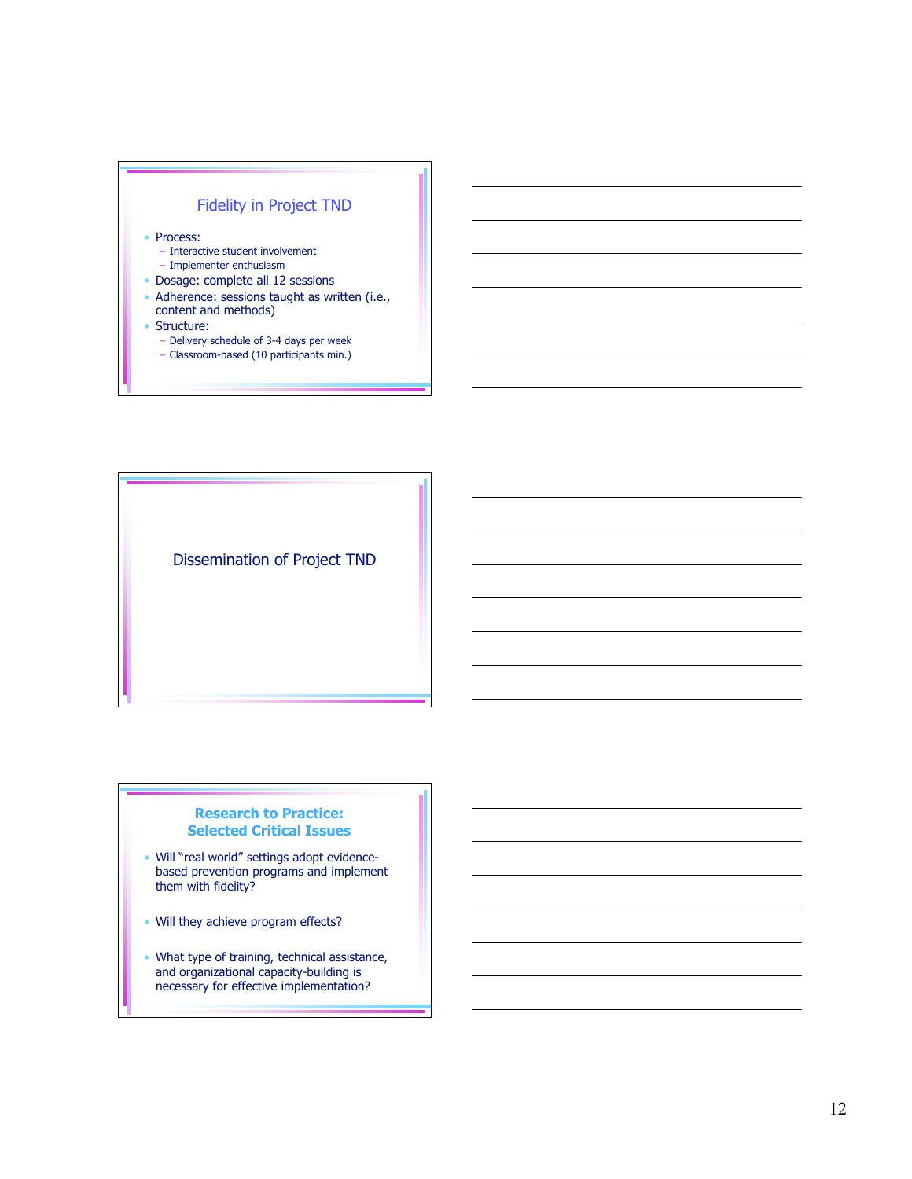

Dissemination of Project TND

#### **Research to Practice: Selected Critical Issues**

- Will "real world" settings adopt evidencebased prevention programs and implement them with fidelity?
- Will they achieve program effects?
- What type of training, technical assistance, and organizational capacity-building is necessary for effective implementation?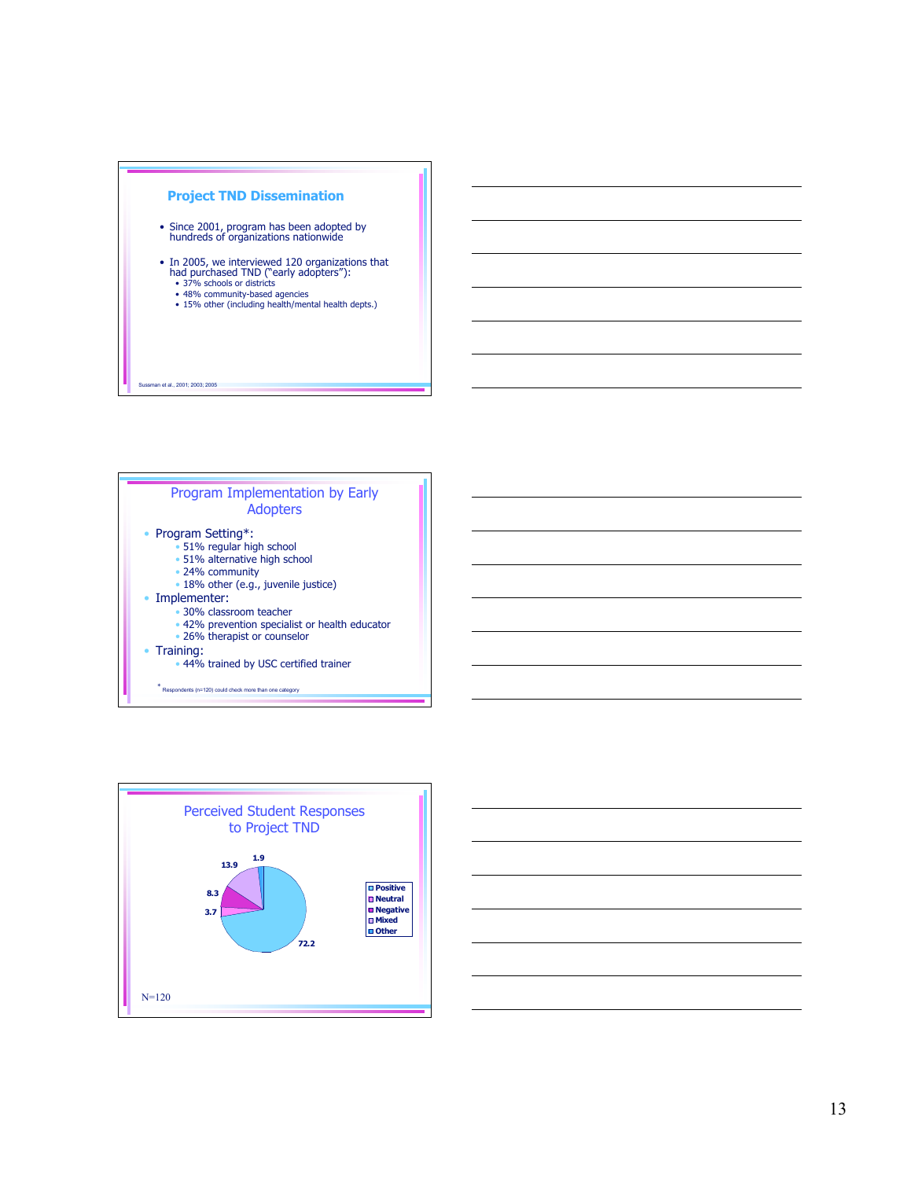

- Since 2001, program has been adopted by hundreds of organizations nationwide
- In 2005, we interviewed 120 organizations that had purchased TND ("early adopters"):
	- 37% schools or districts
	- 48% community-based agencies • 15% other (including health/mental health depts.)

#### ssman et al., 2001; 2003; 2005





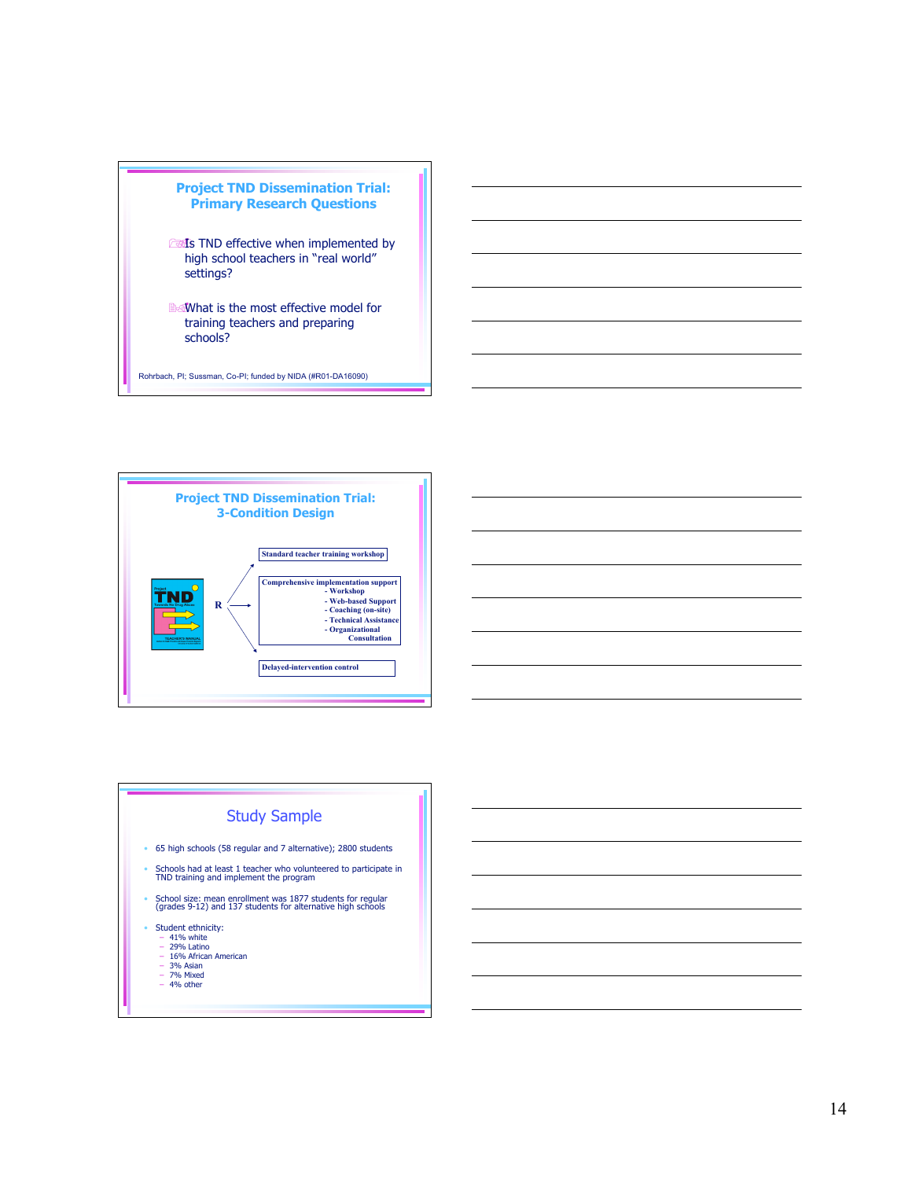





- 3% Asian 7% Mixed
- 

14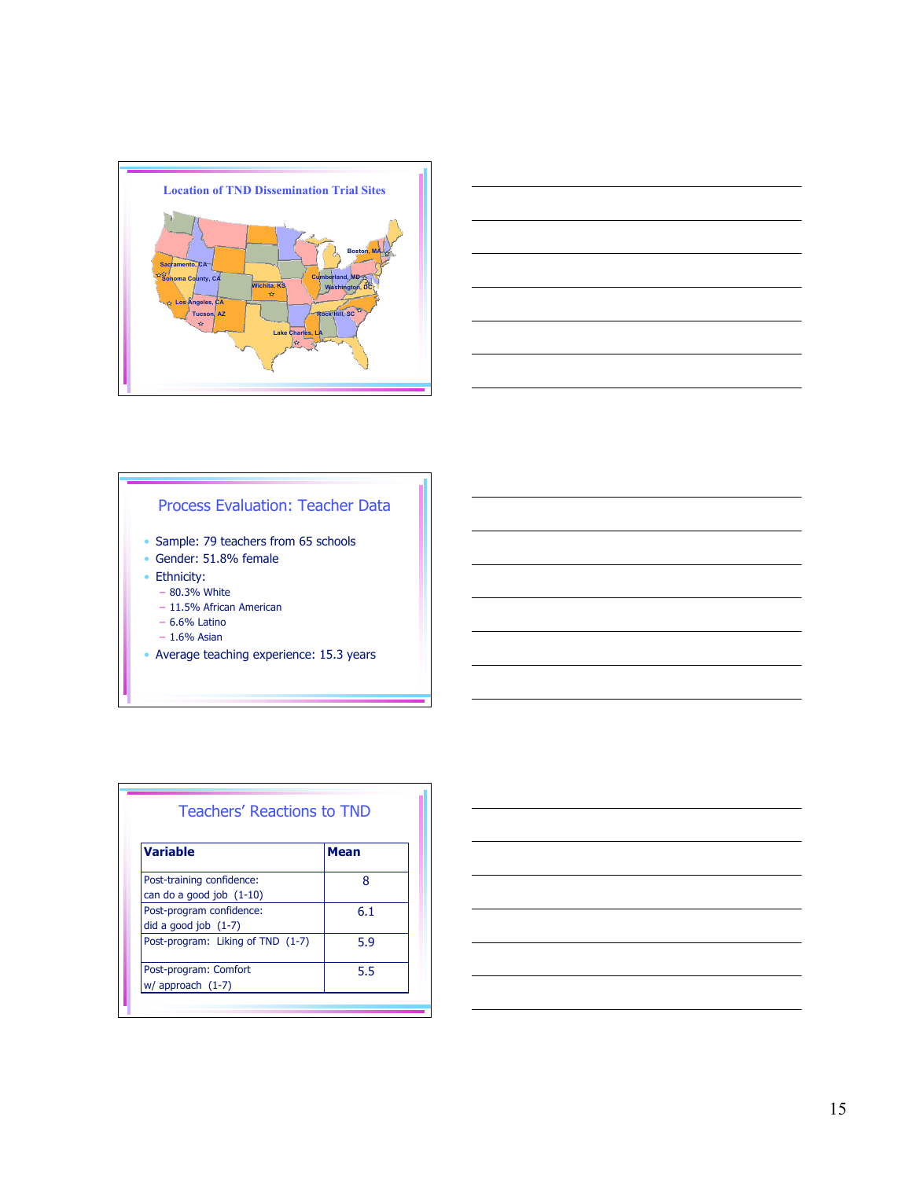



### Process Evaluation: Teacher Data

- Sample: 79 teachers from 65 schools
- Gender: 51.8% female
- Ethnicity:
	- 80.3% White
	- 11.5% African American
	- 6.6% Latino
	- $-1.6%$  Asian
- Average teaching experience: 15.3 years

| <b>Variable</b>                   | <b>Mean</b> |
|-----------------------------------|-------------|
| Post-training confidence:         | Ջ           |
| can do a good job (1-10)          |             |
| Post-program confidence:          | 6.1         |
| did a good job $(1-7)$            |             |
| Post-program: Liking of TND (1-7) | 5.9         |
| Post-program: Comfort             | 5.5         |
| $w/$ approach $(1-7)$             |             |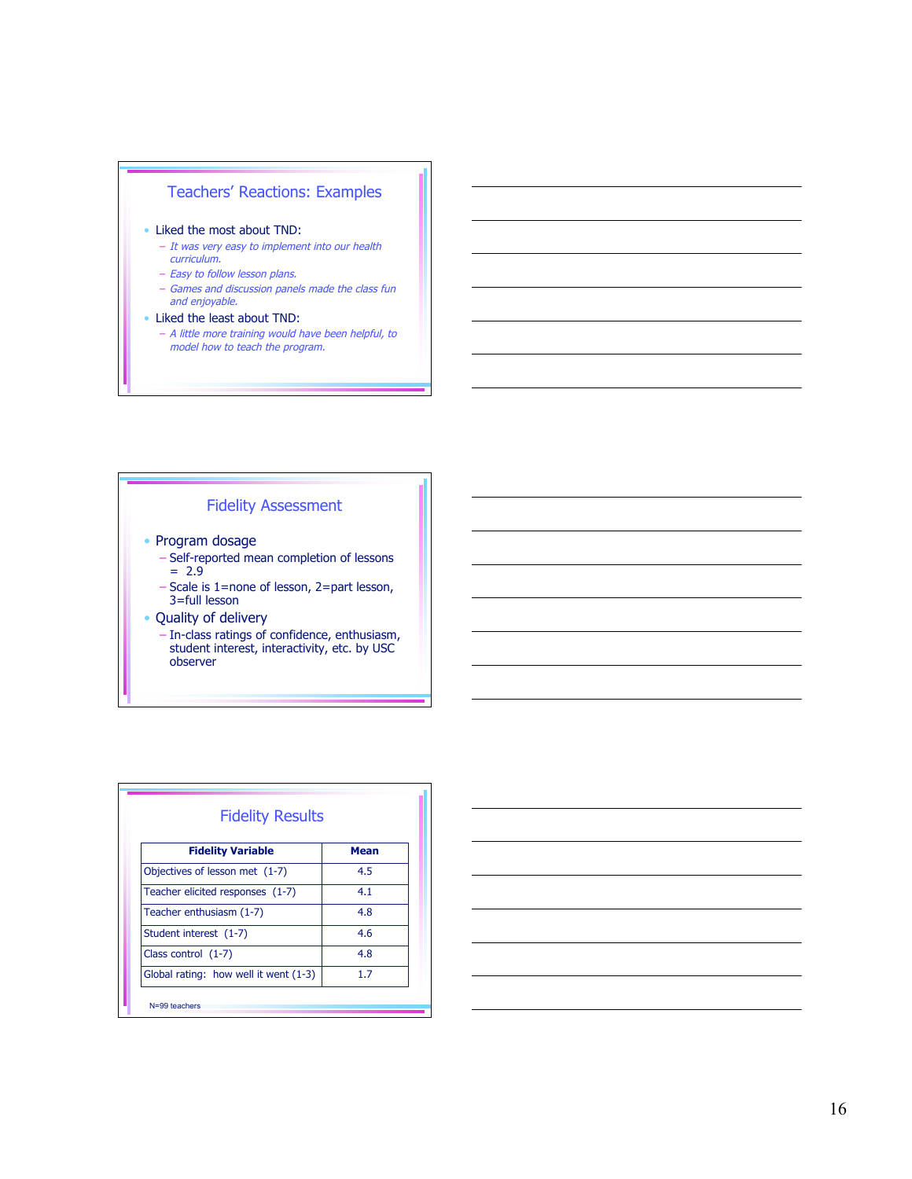# Teachers' Reactions: Examples

- Liked the most about TND:
	- It was very easy to implement into our health curriculum.
	- Easy to follow lesson plans.
	- Games and discussion panels made the class fun and enjoyable.
- Liked the least about TND:
	- A little more training would have been helpful, to model how to teach the program.

### Fidelity Assessment

- Program dosage
	- Self-reported mean completion of lessons  $= 2.9$
	- Scale is 1=none of lesson, 2=part lesson, 3=full lesson
- Quality of delivery
	- In-class ratings of confidence, enthusiasm, student interest, interactivity, etc. by USC observer

| <b>Fidelity Variable</b>              | <b>Mean</b> |
|---------------------------------------|-------------|
| Objectives of lesson met (1-7)        | 4.5         |
| Teacher elicited responses (1-7)      | 4.1         |
| Teacher enthusiasm (1-7)              | 4.8         |
| Student interest (1-7)                | 4.6         |
| Class control $(1-7)$                 | 4.8         |
| Global rating: how well it went (1-3) | 17          |